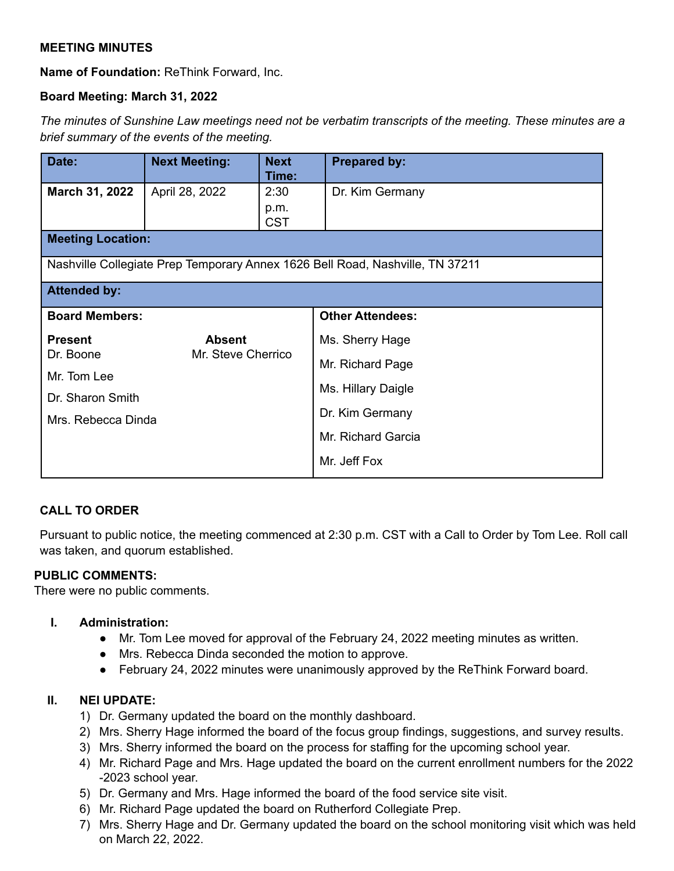# **MEETING MINUTES**

**Name of Foundation:** ReThink Forward, Inc.

# **Board Meeting: March 31, 2022**

The minutes of Sunshine Law meetings need not be verbatim transcripts of the meeting. These minutes are a *brief summary of the events of the meeting.*

| Date:                                                                         | <b>Next Meeting:</b>                | <b>Next</b><br>Time: | <b>Prepared by:</b>     |
|-------------------------------------------------------------------------------|-------------------------------------|----------------------|-------------------------|
| March 31, 2022                                                                | April 28, 2022                      | 2:30                 | Dr. Kim Germany         |
|                                                                               |                                     | p.m.<br><b>CST</b>   |                         |
| <b>Meeting Location:</b>                                                      |                                     |                      |                         |
| Nashville Collegiate Prep Temporary Annex 1626 Bell Road, Nashville, TN 37211 |                                     |                      |                         |
| <b>Attended by:</b>                                                           |                                     |                      |                         |
| <b>Board Members:</b>                                                         |                                     |                      | <b>Other Attendees:</b> |
| <b>Present</b>                                                                | <b>Absent</b><br>Mr. Steve Cherrico |                      | Ms. Sherry Hage         |
| Dr. Boone                                                                     |                                     |                      | Mr. Richard Page        |
| Mr. Tom Lee                                                                   |                                     |                      | Ms. Hillary Daigle      |
| Dr. Sharon Smith                                                              |                                     |                      |                         |
| Mrs. Rebecca Dinda                                                            |                                     |                      | Dr. Kim Germany         |
|                                                                               |                                     |                      | Mr. Richard Garcia      |
|                                                                               |                                     |                      | Mr. Jeff Fox            |

# **CALL TO ORDER**

Pursuant to public notice, the meeting commenced at 2:30 p.m. CST with a Call to Order by Tom Lee. Roll call was taken, and quorum established.

## **PUBLIC COMMENTS:**

There were no public comments.

## **I. Administration:**

- Mr. Tom Lee moved for approval of the February 24, 2022 meeting minutes as written.
- Mrs. Rebecca Dinda seconded the motion to approve.
- February 24, 2022 minutes were unanimously approved by the ReThink Forward board.

# **II. NEI UPDATE:**

- 1) Dr. Germany updated the board on the monthly dashboard.
- 2) Mrs. Sherry Hage informed the board of the focus group findings, suggestions, and survey results.
- 3) Mrs. Sherry informed the board on the process for staffing for the upcoming school year.
- 4) Mr. Richard Page and Mrs. Hage updated the board on the current enrollment numbers for the 2022 -2023 school year.
- 5) Dr. Germany and Mrs. Hage informed the board of the food service site visit.
- 6) Mr. Richard Page updated the board on Rutherford Collegiate Prep.
- 7) Mrs. Sherry Hage and Dr. Germany updated the board on the school monitoring visit which was held on March 22, 2022.